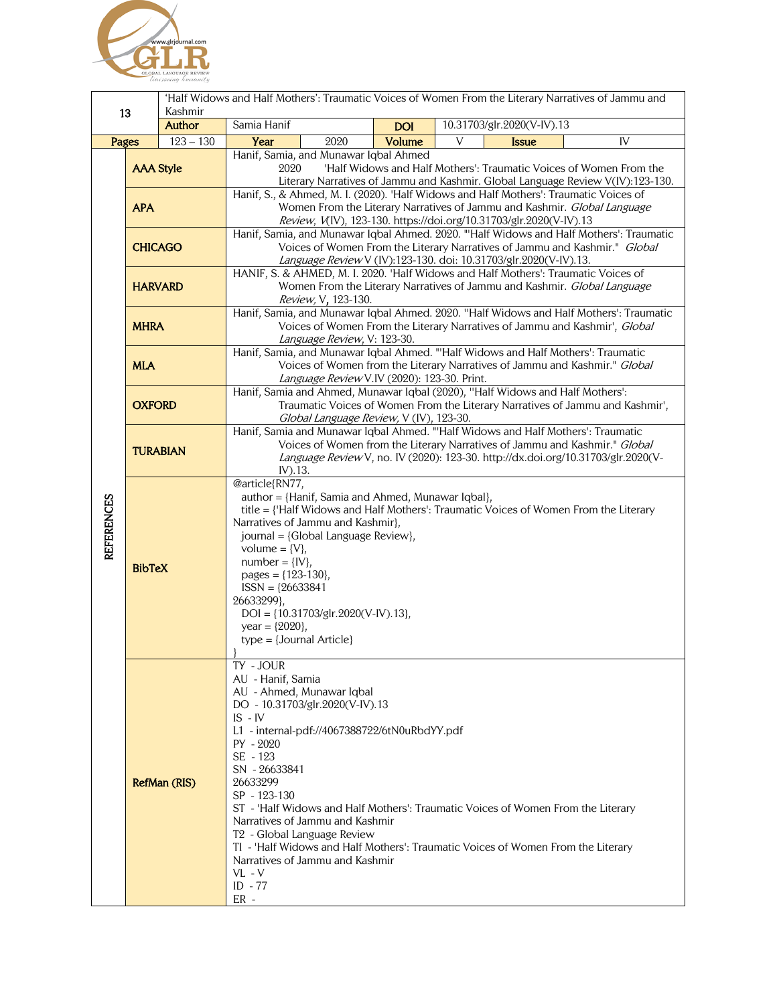

| 13                |                  | 'Half Widows and Half Mothers': Traumatic Voices of Women From the Literary Narratives of Jammu and<br>Kashmir |                                                                                                                                                                                                                                                                                                                                                                                            |            |                                                                                                                                                                                                                                                    |
|-------------------|------------------|----------------------------------------------------------------------------------------------------------------|--------------------------------------------------------------------------------------------------------------------------------------------------------------------------------------------------------------------------------------------------------------------------------------------------------------------------------------------------------------------------------------------|------------|----------------------------------------------------------------------------------------------------------------------------------------------------------------------------------------------------------------------------------------------------|
|                   |                  | <b>Author</b>                                                                                                  | Samia Hanif                                                                                                                                                                                                                                                                                                                                                                                | <b>DOI</b> | 10.31703/glr.2020(V-IV).13                                                                                                                                                                                                                         |
| Pages             |                  | $123 - 130$                                                                                                    | 2020<br>Year                                                                                                                                                                                                                                                                                                                                                                               | Volume     | V<br>IV<br><b>Issue</b>                                                                                                                                                                                                                            |
|                   | <b>AAA Style</b> |                                                                                                                | Hanif, Samia, and Munawar Iqbal Ahmed<br>'Half Widows and Half Mothers': Traumatic Voices of Women From the<br>2020<br>Literary Narratives of Jammu and Kashmir. Global Language Review V(IV):123-130.                                                                                                                                                                                     |            |                                                                                                                                                                                                                                                    |
| <b>REFERENCES</b> | <b>APA</b>       |                                                                                                                | Hanif, S., & Ahmed, M. I. (2020). 'Half Widows and Half Mothers': Traumatic Voices of<br>Women From the Literary Narratives of Jammu and Kashmir. Global Language<br>Review, V(IV), 123-130. https://doi.org/10.31703/glr.2020(V-IV).13                                                                                                                                                    |            |                                                                                                                                                                                                                                                    |
|                   | <b>CHICAGO</b>   |                                                                                                                | Hanif, Samia, and Munawar Iqbal Ahmed. 2020. "'Half Widows and Half Mothers': Traumatic<br>Voices of Women From the Literary Narratives of Jammu and Kashmir." Global<br>Language Review V (IV):123-130. doi: 10.31703/glr.2020(V-IV).13.                                                                                                                                                  |            |                                                                                                                                                                                                                                                    |
|                   | <b>HARVARD</b>   |                                                                                                                | HANIF, S. & AHMED, M. I. 2020. 'Half Widows and Half Mothers': Traumatic Voices of<br>Women From the Literary Narratives of Jammu and Kashmir. Global Language<br>Review, V, 123-130.                                                                                                                                                                                                      |            |                                                                                                                                                                                                                                                    |
|                   | <b>MHRA</b>      |                                                                                                                | Language Review, V: 123-30.                                                                                                                                                                                                                                                                                                                                                                |            | Hanif, Samia, and Munawar Iqbal Ahmed. 2020. "Half Widows and Half Mothers': Traumatic<br>Voices of Women From the Literary Narratives of Jammu and Kashmir', Global                                                                               |
|                   | <b>MLA</b>       |                                                                                                                | Language Review V.IV (2020): 123-30. Print.                                                                                                                                                                                                                                                                                                                                                |            | Hanif, Samia, and Munawar Iqbal Ahmed. "'Half Widows and Half Mothers': Traumatic<br>Voices of Women from the Literary Narratives of Jammu and Kashmir." Global                                                                                    |
|                   | <b>OXFORD</b>    |                                                                                                                | Hanif, Samia and Ahmed, Munawar Iqbal (2020), "Half Widows and Half Mothers':<br>Traumatic Voices of Women From the Literary Narratives of Jammu and Kashmir',<br>Global Language Review, V (IV), 123-30.                                                                                                                                                                                  |            |                                                                                                                                                                                                                                                    |
|                   | <b>TURABIAN</b>  |                                                                                                                | IV).13.                                                                                                                                                                                                                                                                                                                                                                                    |            | Hanif, Samia and Munawar Iqbal Ahmed. "'Half Widows and Half Mothers': Traumatic<br>Voices of Women from the Literary Narratives of Jammu and Kashmir." Global<br>Language Review V, no. IV (2020): 123-30. http://dx.doi.org/10.31703/glr.2020(V- |
|                   | <b>BibTeX</b>    |                                                                                                                | @article{RN77,<br>author = {Hanif, Samia and Ahmed, Munawar Iqbal},<br>Narratives of Jammu and Kashmir},<br>journal = {Global Language Review},<br>volume = $\{V\}$ ,<br>$number = \{IV\},$<br>pages = ${123-130}$ ,<br>$ISSN = {26633841}$<br>26633299},<br>$DOI = \{10.31703/gIr.2020(V-IV).13\},$<br>year = ${2020}$ ,<br>$type = {Journal Article}$                                    |            | title = {'Half Widows and Half Mothers': Traumatic Voices of Women From the Literary                                                                                                                                                               |
|                   | RefMan (RIS)     |                                                                                                                | TY - JOUR<br>AU - Hanif, Samia<br>AU - Ahmed, Munawar Iqbal<br>DO - 10.31703/glr.2020(V-IV).13<br>$IS$ - $IV$<br>L1 - internal-pdf://4067388722/6tN0uRbdYY.pdf<br>$PY - 2020$<br>SE - 123<br>SN - 26633841<br>26633299<br>SP - 123-130<br>Narratives of Jammu and Kashmir<br>T <sub>2</sub> - Global Language Review<br>Narratives of Jammu and Kashmir<br>$VL - V$<br>$ID - 77$<br>$ER -$ |            | ST - 'Half Widows and Half Mothers': Traumatic Voices of Women From the Literary<br>TI - 'Half Widows and Half Mothers': Traumatic Voices of Women From the Literary                                                                               |